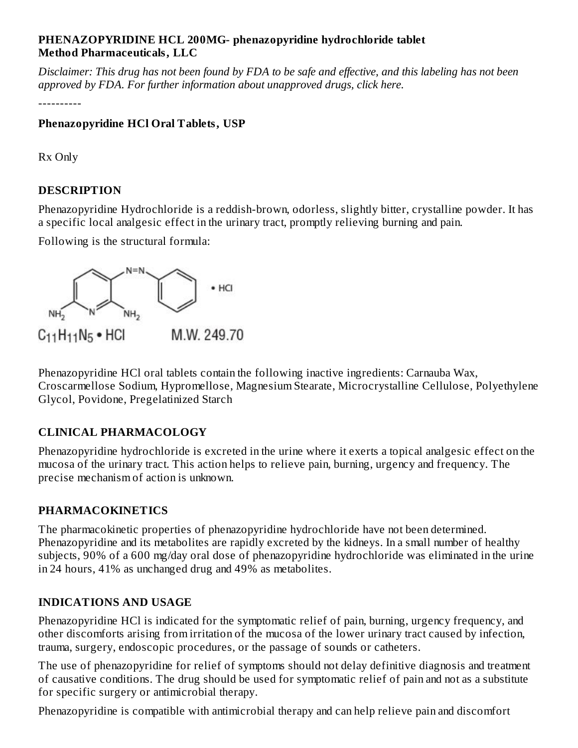#### **PHENAZOPYRIDINE HCL 200MG- phenazopyridine hydrochloride tablet Method Pharmaceuticals, LLC**

Disclaimer: This drug has not been found by FDA to be safe and effective, and this labeling has not been *approved by FDA. For further information about unapproved drugs, click here.*

----------

### **Phenazopyridine HCl Oral Tablets, USP**

Rx Only

## **DESCRIPTION**

Phenazopyridine Hydrochloride is a reddish-brown, odorless, slightly bitter, crystalline powder. It has a specific local analgesic effect in the urinary tract, promptly relieving burning and pain.

Following is the structural formula:



Phenazopyridine HCl oral tablets contain the following inactive ingredients: Carnauba Wax, Croscarmellose Sodium, Hypromellose, Magnesium Stearate, Microcrystalline Cellulose, Polyethylene Glycol, Povidone, Pregelatinized Starch

# **CLINICAL PHARMACOLOGY**

Phenazopyridine hydrochloride is excreted in the urine where it exerts a topical analgesic effect on the mucosa of the urinary tract. This action helps to relieve pain, burning, urgency and frequency. The precise mechanism of action is unknown.

## **PHARMACOKINETICS**

The pharmacokinetic properties of phenazopyridine hydrochloride have not been determined. Phenazopyridine and its metabolites are rapidly excreted by the kidneys. In a small number of healthy subjects, 90% of a 600 mg/day oral dose of phenazopyridine hydrochloride was eliminated in the urine in 24 hours, 41% as unchanged drug and 49% as metabolites.

## **INDICATIONS AND USAGE**

Phenazopyridine HCl is indicated for the symptomatic relief of pain, burning, urgency frequency, and other discomforts arising from irritation of the mucosa of the lower urinary tract caused by infection, trauma, surgery, endoscopic procedures, or the passage of sounds or catheters.

The use of phenazopyridine for relief of symptoms should not delay definitive diagnosis and treatment of causative conditions. The drug should be used for symptomatic relief of pain and not as a substitute for specific surgery or antimicrobial therapy.

Phenazopyridine is compatible with antimicrobial therapy and can help relieve pain and discomfort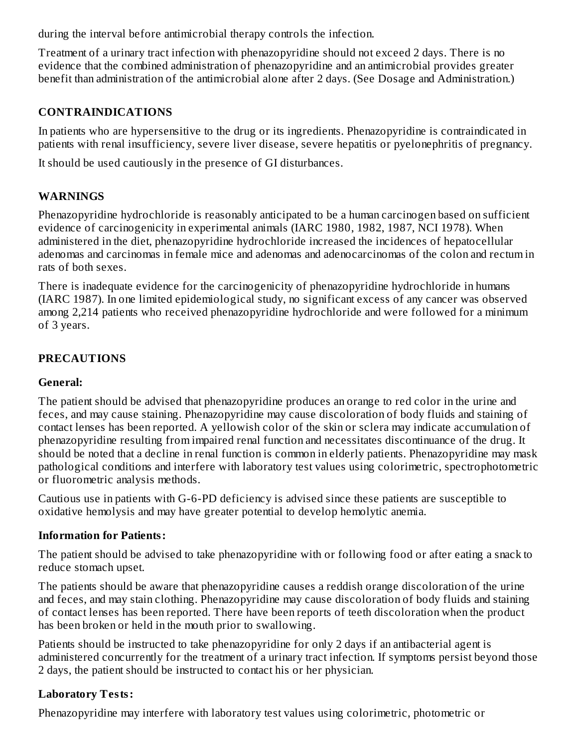during the interval before antimicrobial therapy controls the infection.

Treatment of a urinary tract infection with phenazopyridine should not exceed 2 days. There is no evidence that the combined administration of phenazopyridine and an antimicrobial provides greater benefit than administration of the antimicrobial alone after 2 days. (See Dosage and Administration.)

#### **CONTRAINDICATIONS**

In patients who are hypersensitive to the drug or its ingredients. Phenazopyridine is contraindicated in patients with renal insufficiency, severe liver disease, severe hepatitis or pyelonephritis of pregnancy.

It should be used cautiously in the presence of GI disturbances.

## **WARNINGS**

Phenazopyridine hydrochloride is reasonably anticipated to be a human carcinogen based on sufficient evidence of carcinogenicity in experimental animals (IARC 1980, 1982, 1987, NCI 1978). When administered in the diet, phenazopyridine hydrochloride increased the incidences of hepatocellular adenomas and carcinomas in female mice and adenomas and adenocarcinomas of the colon and rectum in rats of both sexes.

There is inadequate evidence for the carcinogenicity of phenazopyridine hydrochloride in humans (IARC 1987). In one limited epidemiological study, no significant excess of any cancer was observed among 2,214 patients who received phenazopyridine hydrochloride and were followed for a minimum of 3 years.

## **PRECAUTIONS**

#### **General:**

The patient should be advised that phenazopyridine produces an orange to red color in the urine and feces, and may cause staining. Phenazopyridine may cause discoloration of body fluids and staining of contact lenses has been reported. A yellowish color of the skin or sclera may indicate accumulation of phenazopyridine resulting from impaired renal function and necessitates discontinuance of the drug. It should be noted that a decline in renal function is common in elderly patients. Phenazopyridine may mask pathological conditions and interfere with laboratory test values using colorimetric, spectrophotometric or fluorometric analysis methods.

Cautious use in patients with G-6-PD deficiency is advised since these patients are susceptible to oxidative hemolysis and may have greater potential to develop hemolytic anemia.

#### **Information for Patients:**

The patient should be advised to take phenazopyridine with or following food or after eating a snack to reduce stomach upset.

The patients should be aware that phenazopyridine causes a reddish orange discoloration of the urine and feces, and may stain clothing. Phenazopyridine may cause discoloration of body fluids and staining of contact lenses has been reported. There have been reports of teeth discoloration when the product has been broken or held in the mouth prior to swallowing.

Patients should be instructed to take phenazopyridine for only 2 days if an antibacterial agent is administered concurrently for the treatment of a urinary tract infection. If symptoms persist beyond those 2 days, the patient should be instructed to contact his or her physician.

#### **Laboratory Tests:**

Phenazopyridine may interfere with laboratory test values using colorimetric, photometric or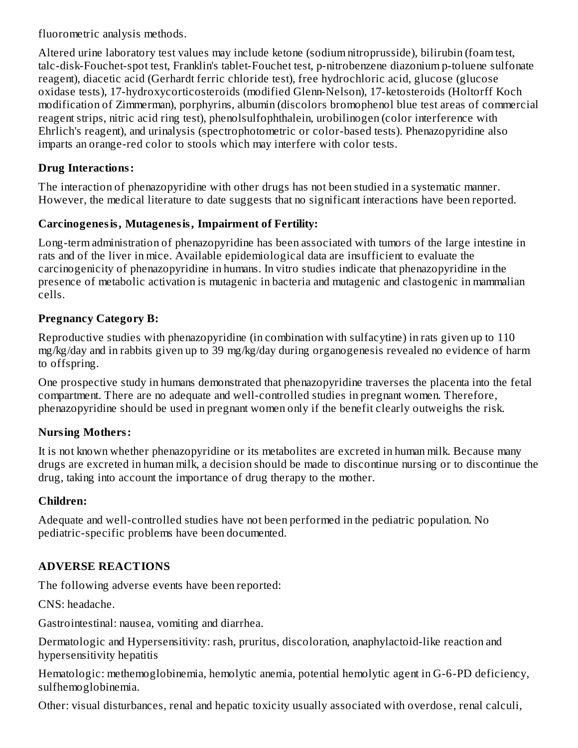fluorometric analysis methods.

Altered urine laboratory test values may include ketone (sodium nitroprusside), bilirubin (foam test, talc-disk-Fouchet-spot test, Franklin's tablet-Fouchet test, p-nitrobenzene diazonium p-toluene sulfonate reagent), diacetic acid (Gerhardt ferric chloride test), free hydrochloric acid, glucose (glucose oxidase tests), 17-hydroxycorticosteroids (modified Glenn-Nelson), 17-ketosteroids (Holtorff Koch modification of Zimmerman), porphyrins, albumin (discolors bromophenol blue test areas of commercial reagent strips, nitric acid ring test), phenolsulfophthalein, urobilinogen (color interference with Ehrlich's reagent), and urinalysis (spectrophotometric or color-based tests). Phenazopyridine also imparts an orange-red color to stools which may interfere with color tests.

#### **Drug Interactions:**

The interaction of phenazopyridine with other drugs has not been studied in a systematic manner. However, the medical literature to date suggests that no significant interactions have been reported.

#### **Carcinogenesis, Mutagenesis, Impairment of Fertility:**

Long-term administration of phenazopyridine has been associated with tumors of the large intestine in rats and of the liver in mice. Available epidemiological data are insufficient to evaluate the carcinogenicity of phenazopyridine in humans. In vitro studies indicate that phenazopyridine in the presence of metabolic activation is mutagenic in bacteria and mutagenic and clastogenic in mammalian cells.

#### **Pregnancy Category B:**

Reproductive studies with phenazopyridine (in combination with sulfacytine) in rats given up to 110 mg/kg/day and in rabbits given up to 39 mg/kg/day during organogenesis revealed no evidence of harm to offspring.

One prospective study in humans demonstrated that phenazopyridine traverses the placenta into the fetal compartment. There are no adequate and well-controlled studies in pregnant women. Therefore, phenazopyridine should be used in pregnant women only if the benefit clearly outweighs the risk.

#### **Nursing Mothers:**

It is not known whether phenazopyridine or its metabolites are excreted in human milk. Because many drugs are excreted in human milk, a decision should be made to discontinue nursing or to discontinue the drug, taking into account the importance of drug therapy to the mother.

#### **Children:**

Adequate and well-controlled studies have not been performed in the pediatric population. No pediatric-specific problems have been documented.

## **ADVERSE REACTIONS**

The following adverse events have been reported:

CNS: headache.

Gastrointestinal: nausea, vomiting and diarrhea.

Dermatologic and Hypersensitivity: rash, pruritus, discoloration, anaphylactoid-like reaction and hypersensitivity hepatitis

Hematologic: methemoglobinemia, hemolytic anemia, potential hemolytic agent in G-6-PD deficiency, sulfhemoglobinemia.

Other: visual disturbances, renal and hepatic toxicity usually associated with overdose, renal calculi,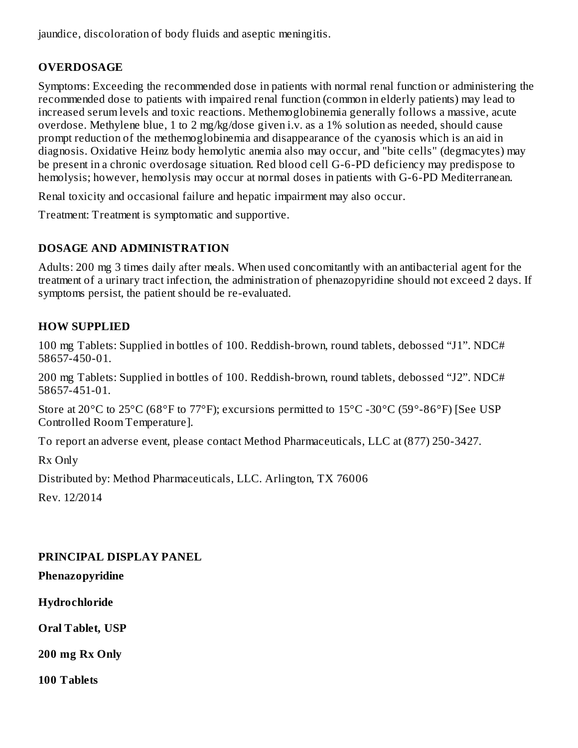jaundice, discoloration of body fluids and aseptic meningitis.

## **OVERDOSAGE**

Symptoms: Exceeding the recommended dose in patients with normal renal function or administering the recommended dose to patients with impaired renal function (common in elderly patients) may lead to increased serum levels and toxic reactions. Methemoglobinemia generally follows a massive, acute overdose. Methylene blue, 1 to 2 mg/kg/dose given i.v. as a 1% solution as needed, should cause prompt reduction of the methemoglobinemia and disappearance of the cyanosis which is an aid in diagnosis. Oxidative Heinz body hemolytic anemia also may occur, and "bite cells" (degmacytes) may be present in a chronic overdosage situation. Red blood cell G-6-PD deficiency may predispose to hemolysis; however, hemolysis may occur at normal doses in patients with G-6-PD Mediterranean.

Renal toxicity and occasional failure and hepatic impairment may also occur.

Treatment: Treatment is symptomatic and supportive.

## **DOSAGE AND ADMINISTRATION**

Adults: 200 mg 3 times daily after meals. When used concomitantly with an antibacterial agent for the treatment of a urinary tract infection, the administration of phenazopyridine should not exceed 2 days. If symptoms persist, the patient should be re-evaluated.

## **HOW SUPPLIED**

100 mg Tablets: Supplied in bottles of 100. Reddish-brown, round tablets, debossed "J1". NDC# 58657-450-01.

200 mg Tablets: Supplied in bottles of 100. Reddish-brown, round tablets, debossed "J2". NDC# 58657-451-01.

Store at 20°C to 25°C (68°F to 77°F); excursions permitted to 15°C -30°C (59°-86°F) [See USP Controlled Room Temperature].

To report an adverse event, please contact Method Pharmaceuticals, LLC at (877) 250-3427.

Rx Only

Distributed by: Method Pharmaceuticals, LLC. Arlington, TX 76006

Rev. 12/2014

## **PRINCIPAL DISPLAY PANEL**

**Phenazopyridine**

**Hydrochloride**

**Oral Tablet, USP**

**200 mg Rx Only**

**100 Tablets**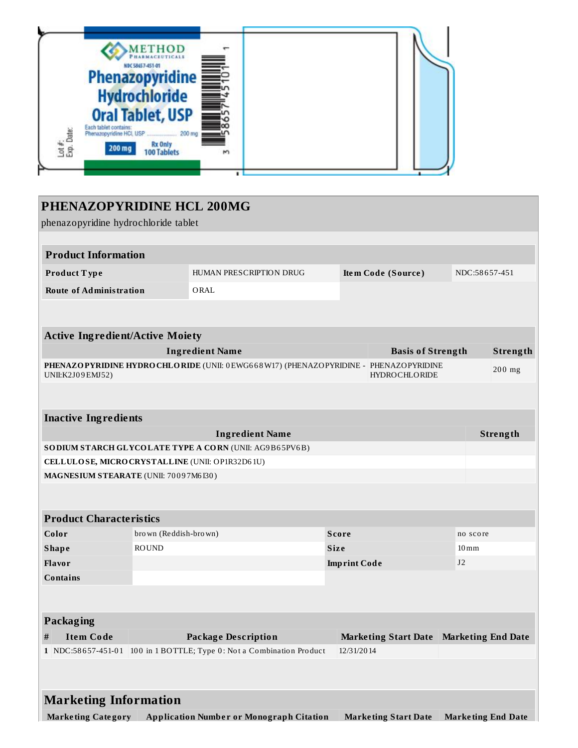

| PHENAZOPYRIDINE HCL 200MG                       |                                                        |                                                                                            |  |                     |                             |  |                           |          |  |  |
|-------------------------------------------------|--------------------------------------------------------|--------------------------------------------------------------------------------------------|--|---------------------|-----------------------------|--|---------------------------|----------|--|--|
| phenazopyridine hydrochloride tablet            |                                                        |                                                                                            |  |                     |                             |  |                           |          |  |  |
|                                                 |                                                        |                                                                                            |  |                     |                             |  |                           |          |  |  |
| <b>Product Information</b>                      |                                                        |                                                                                            |  |                     |                             |  |                           |          |  |  |
| Product Type                                    |                                                        | HUMAN PRESCRIPTION DRUG                                                                    |  | Item Code (Source)  |                             |  | NDC:58657-451             |          |  |  |
| <b>Route of Administration</b>                  |                                                        | ORAL                                                                                       |  |                     |                             |  |                           |          |  |  |
|                                                 |                                                        |                                                                                            |  |                     |                             |  |                           |          |  |  |
| <b>Active Ingredient/Active Moiety</b>          |                                                        |                                                                                            |  |                     |                             |  |                           |          |  |  |
|                                                 |                                                        | <b>Ingredient Name</b>                                                                     |  |                     | <b>Basis of Strength</b>    |  |                           | Strength |  |  |
| UNII:K2J09EMJ52)                                |                                                        | PHENAZO PYRIDINE HYDRO CHLO RIDE (UNII: 0 EWG668 W17) (PHENAZO PYRIDINE - PHENAZO PYRIDINE |  |                     | <b>HYDROCHLORIDE</b>        |  |                           | 200 mg   |  |  |
|                                                 |                                                        |                                                                                            |  |                     |                             |  |                           |          |  |  |
| <b>Inactive Ingredients</b>                     |                                                        |                                                                                            |  |                     |                             |  |                           |          |  |  |
|                                                 |                                                        | <b>Ingredient Name</b>                                                                     |  |                     |                             |  |                           | Strength |  |  |
|                                                 | SODIUM STARCH GLYCOLATE TYPE A CORN (UNII: AG9B65PV6B) |                                                                                            |  |                     |                             |  |                           |          |  |  |
| CELLULOSE, MICRO CRYSTALLINE (UNII: OP1R32D61U) |                                                        |                                                                                            |  |                     |                             |  |                           |          |  |  |
|                                                 | MAGNESIUM STEARATE (UNII: 70097M6I30)                  |                                                                                            |  |                     |                             |  |                           |          |  |  |
|                                                 |                                                        |                                                                                            |  |                     |                             |  |                           |          |  |  |
| <b>Product Characteristics</b>                  |                                                        |                                                                                            |  |                     |                             |  |                           |          |  |  |
| Color                                           | brown (Reddish-brown)                                  |                                                                                            |  | <b>Score</b>        |                             |  | no score                  |          |  |  |
| <b>Shape</b>                                    | <b>ROUND</b>                                           |                                                                                            |  | <b>Size</b>         |                             |  | $10 \,\mathrm{mm}$        |          |  |  |
| <b>Flavor</b>                                   |                                                        |                                                                                            |  | <b>Imprint Code</b> |                             |  | J <sub>2</sub>            |          |  |  |
| <b>Contains</b>                                 |                                                        |                                                                                            |  |                     |                             |  |                           |          |  |  |
|                                                 |                                                        |                                                                                            |  |                     |                             |  |                           |          |  |  |
| <b>Packaging</b>                                |                                                        |                                                                                            |  |                     |                             |  |                           |          |  |  |
| <b>Item Code</b><br>#                           |                                                        | <b>Package Description</b>                                                                 |  |                     | <b>Marketing Start Date</b> |  | <b>Marketing End Date</b> |          |  |  |
|                                                 |                                                        | 1 NDC:58657-451-01 100 in 1 BOTTLE; Type 0: Not a Combination Product                      |  | 12/31/2014          |                             |  |                           |          |  |  |
|                                                 |                                                        |                                                                                            |  |                     |                             |  |                           |          |  |  |
|                                                 |                                                        |                                                                                            |  |                     |                             |  |                           |          |  |  |
| <b>Marketing Information</b>                    |                                                        |                                                                                            |  |                     |                             |  |                           |          |  |  |
|                                                 |                                                        |                                                                                            |  |                     |                             |  |                           |          |  |  |

**Marke ting Category Application Numbe r or Monograph Citation Marke ting Start Date Marke ting End Date**